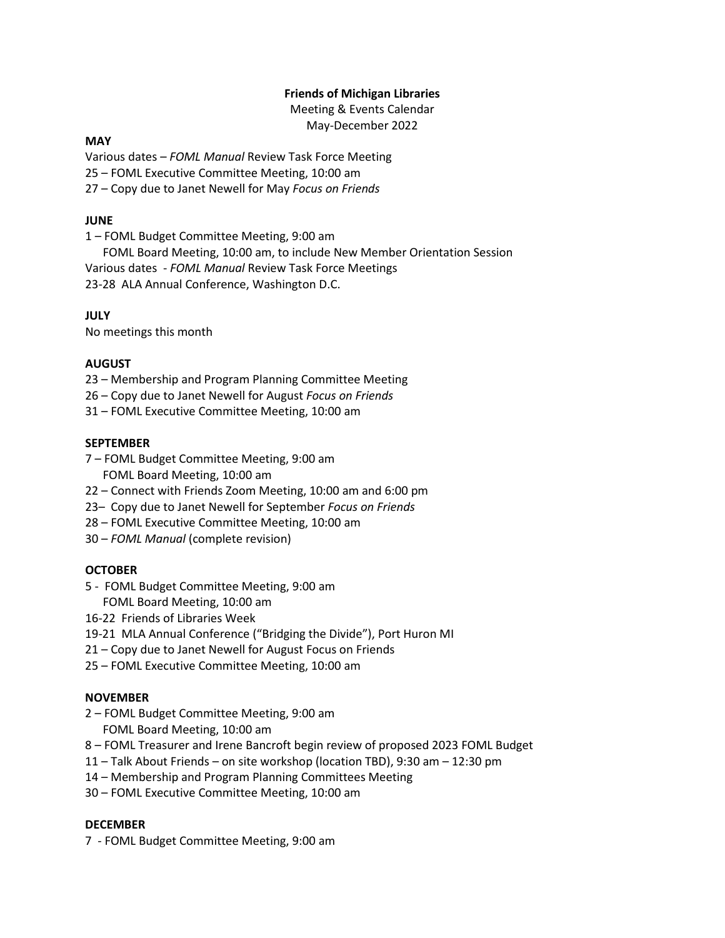## **Friends of Michigan Libraries**

Meeting & Events Calendar May-December 2022

### **MAY**

Various dates – *FOML Manual* Review Task Force Meeting 25 – FOML Executive Committee Meeting, 10:00 am 27 – Copy due to Janet Newell for May *Focus on Friends*

### **JUNE**

1 – FOML Budget Committee Meeting, 9:00 am

 FOML Board Meeting, 10:00 am, to include New Member Orientation Session Various dates - *FOML Manual* Review Task Force Meetings 23-28 ALA Annual Conference, Washington D.C.

# **JULY**

No meetings this month

## **AUGUST**

23 – Membership and Program Planning Committee Meeting

- 26 Copy due to Janet Newell for August *Focus on Friends*
- 31 FOML Executive Committee Meeting, 10:00 am

### **SEPTEMBER**

- 7 FOML Budget Committee Meeting, 9:00 am FOML Board Meeting, 10:00 am
- 22 Connect with Friends Zoom Meeting, 10:00 am and 6:00 pm
- 23– Copy due to Janet Newell for September *Focus on Friends*
- 28 FOML Executive Committee Meeting, 10:00 am
- 30 *FOML Manual* (complete revision)

### **OCTOBER**

- 5 FOML Budget Committee Meeting, 9:00 am FOML Board Meeting, 10:00 am
- 16-22 Friends of Libraries Week
- 19-21 MLA Annual Conference ("Bridging the Divide"), Port Huron MI
- 21 Copy due to Janet Newell for August Focus on Friends
- 25 FOML Executive Committee Meeting, 10:00 am

### **NOVEMBER**

- 2 FOML Budget Committee Meeting, 9:00 am
	- FOML Board Meeting, 10:00 am
- 8 FOML Treasurer and Irene Bancroft begin review of proposed 2023 FOML Budget
- 11 Talk About Friends on site workshop (location TBD), 9:30 am 12:30 pm
- 14 Membership and Program Planning Committees Meeting
- 30 FOML Executive Committee Meeting, 10:00 am

### **DECEMBER**

7 - FOML Budget Committee Meeting, 9:00 am